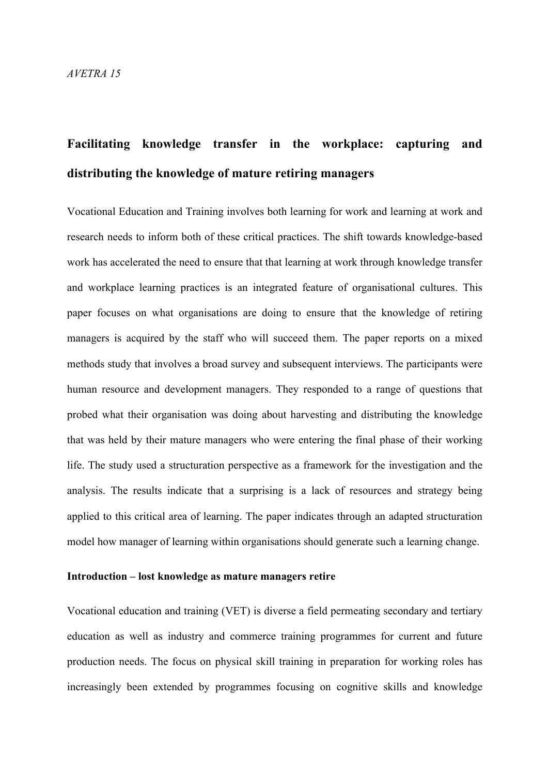# **Facilitating knowledge transfer in the workplace: capturing and distributing the knowledge of mature retiring managers**

Vocational Education and Training involves both learning for work and learning at work and research needs to inform both of these critical practices. The shift towards knowledge-based work has accelerated the need to ensure that that learning at work through knowledge transfer and workplace learning practices is an integrated feature of organisational cultures. This paper focuses on what organisations are doing to ensure that the knowledge of retiring managers is acquired by the staff who will succeed them. The paper reports on a mixed methods study that involves a broad survey and subsequent interviews. The participants were human resource and development managers. They responded to a range of questions that probed what their organisation was doing about harvesting and distributing the knowledge that was held by their mature managers who were entering the final phase of their working life. The study used a structuration perspective as a framework for the investigation and the analysis. The results indicate that a surprising is a lack of resources and strategy being applied to this critical area of learning. The paper indicates through an adapted structuration model how manager of learning within organisations should generate such a learning change.

### **Introduction – lost knowledge as mature managers retire**

Vocational education and training (VET) is diverse a field permeating secondary and tertiary education as well as industry and commerce training programmes for current and future production needs. The focus on physical skill training in preparation for working roles has increasingly been extended by programmes focusing on cognitive skills and knowledge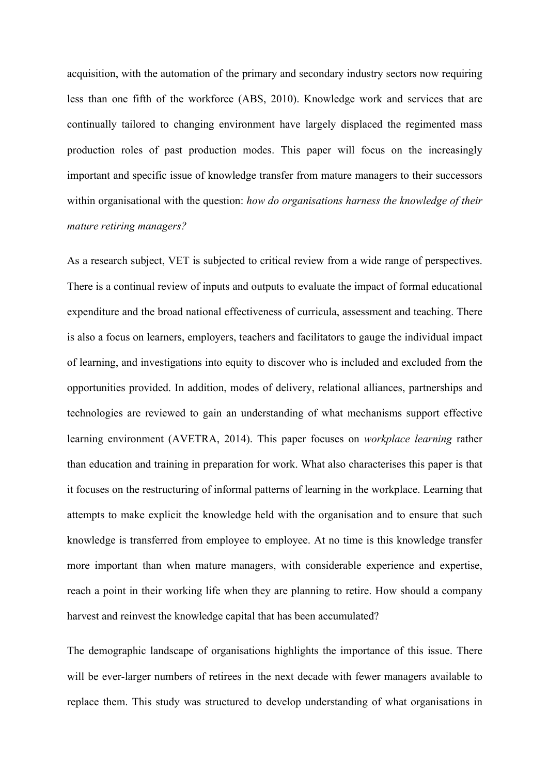acquisition, with the automation of the primary and secondary industry sectors now requiring less than one fifth of the workforce (ABS, 2010). Knowledge work and services that are continually tailored to changing environment have largely displaced the regimented mass production roles of past production modes. This paper will focus on the increasingly important and specific issue of knowledge transfer from mature managers to their successors within organisational with the question: *how do organisations harness the knowledge of their mature retiring managers?* 

As a research subject, VET is subjected to critical review from a wide range of perspectives. There is a continual review of inputs and outputs to evaluate the impact of formal educational expenditure and the broad national effectiveness of curricula, assessment and teaching. There is also a focus on learners, employers, teachers and facilitators to gauge the individual impact of learning, and investigations into equity to discover who is included and excluded from the opportunities provided. In addition, modes of delivery, relational alliances, partnerships and technologies are reviewed to gain an understanding of what mechanisms support effective learning environment (AVETRA, 2014). This paper focuses on *workplace learning* rather than education and training in preparation for work. What also characterises this paper is that it focuses on the restructuring of informal patterns of learning in the workplace. Learning that attempts to make explicit the knowledge held with the organisation and to ensure that such knowledge is transferred from employee to employee. At no time is this knowledge transfer more important than when mature managers, with considerable experience and expertise, reach a point in their working life when they are planning to retire. How should a company harvest and reinvest the knowledge capital that has been accumulated?

The demographic landscape of organisations highlights the importance of this issue. There will be ever-larger numbers of retirees in the next decade with fewer managers available to replace them. This study was structured to develop understanding of what organisations in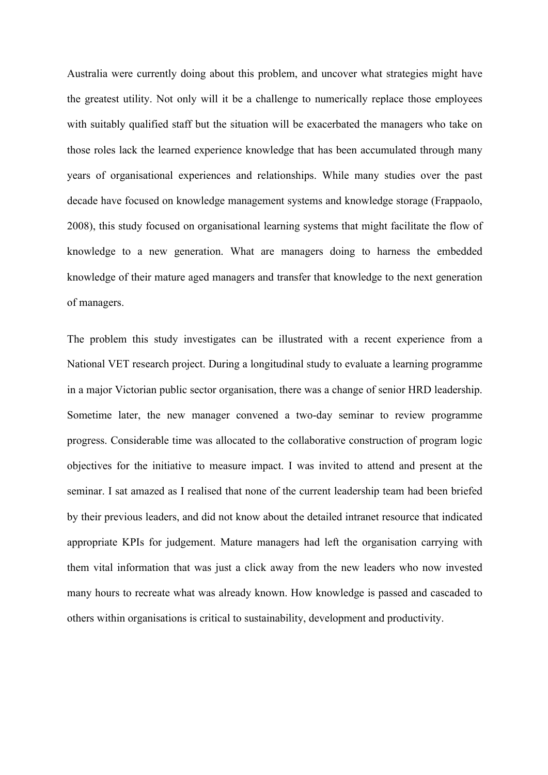Australia were currently doing about this problem, and uncover what strategies might have the greatest utility. Not only will it be a challenge to numerically replace those employees with suitably qualified staff but the situation will be exacerbated the managers who take on those roles lack the learned experience knowledge that has been accumulated through many years of organisational experiences and relationships. While many studies over the past decade have focused on knowledge management systems and knowledge storage (Frappaolo, 2008), this study focused on organisational learning systems that might facilitate the flow of knowledge to a new generation. What are managers doing to harness the embedded knowledge of their mature aged managers and transfer that knowledge to the next generation of managers.

The problem this study investigates can be illustrated with a recent experience from a National VET research project. During a longitudinal study to evaluate a learning programme in a major Victorian public sector organisation, there was a change of senior HRD leadership. Sometime later, the new manager convened a two-day seminar to review programme progress. Considerable time was allocated to the collaborative construction of program logic objectives for the initiative to measure impact. I was invited to attend and present at the seminar. I sat amazed as I realised that none of the current leadership team had been briefed by their previous leaders, and did not know about the detailed intranet resource that indicated appropriate KPIs for judgement. Mature managers had left the organisation carrying with them vital information that was just a click away from the new leaders who now invested many hours to recreate what was already known. How knowledge is passed and cascaded to others within organisations is critical to sustainability, development and productivity.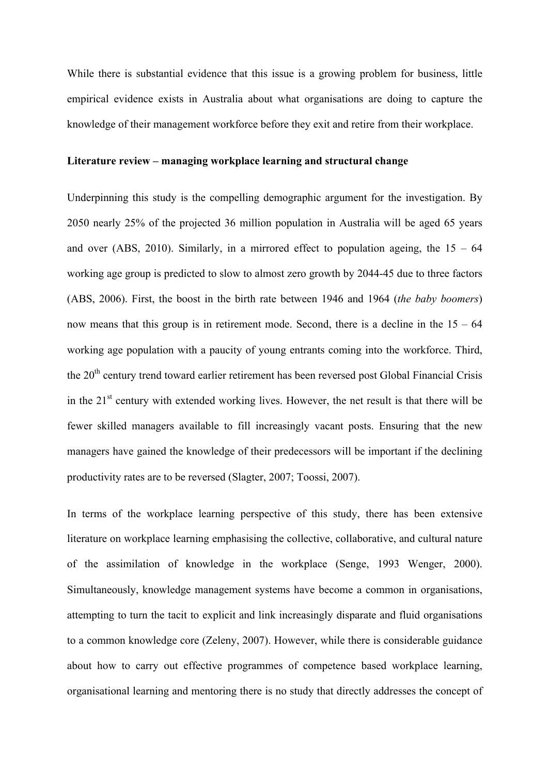While there is substantial evidence that this issue is a growing problem for business, little empirical evidence exists in Australia about what organisations are doing to capture the knowledge of their management workforce before they exit and retire from their workplace.

# **Literature review – managing workplace learning and structural change**

Underpinning this study is the compelling demographic argument for the investigation. By 2050 nearly 25% of the projected 36 million population in Australia will be aged 65 years and over (ABS, 2010). Similarly, in a mirrored effect to population ageing, the  $15 - 64$ working age group is predicted to slow to almost zero growth by 2044-45 due to three factors (ABS, 2006). First, the boost in the birth rate between 1946 and 1964 (*the baby boomers*) now means that this group is in retirement mode. Second, there is a decline in the  $15 - 64$ working age population with a paucity of young entrants coming into the workforce. Third, the 20<sup>th</sup> century trend toward earlier retirement has been reversed post Global Financial Crisis in the  $21<sup>st</sup>$  century with extended working lives. However, the net result is that there will be fewer skilled managers available to fill increasingly vacant posts. Ensuring that the new managers have gained the knowledge of their predecessors will be important if the declining productivity rates are to be reversed (Slagter, 2007; Toossi, 2007).

In terms of the workplace learning perspective of this study, there has been extensive literature on workplace learning emphasising the collective, collaborative, and cultural nature of the assimilation of knowledge in the workplace (Senge, 1993 Wenger, 2000). Simultaneously, knowledge management systems have become a common in organisations, attempting to turn the tacit to explicit and link increasingly disparate and fluid organisations to a common knowledge core (Zeleny, 2007). However, while there is considerable guidance about how to carry out effective programmes of competence based workplace learning, organisational learning and mentoring there is no study that directly addresses the concept of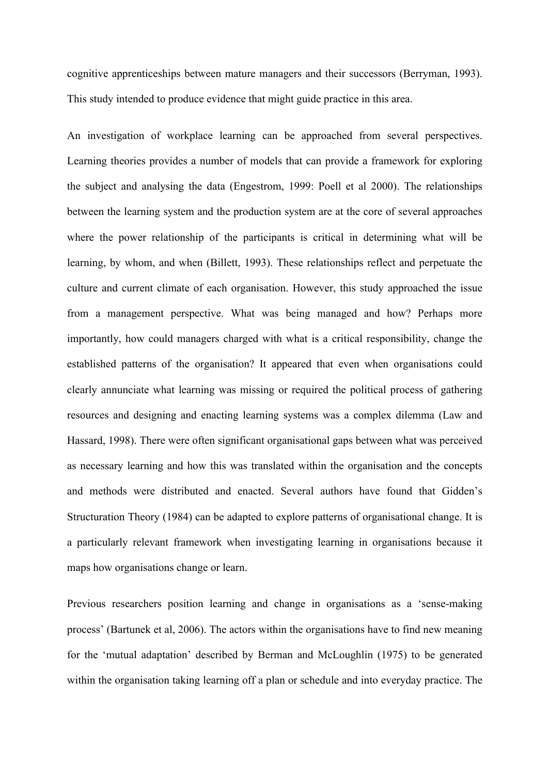cognitive apprenticeships between mature managers and their successors (Berryman, 1993). This study intended to produce evidence that might guide practice in this area.

An investigation of workplace learning can be approached from several perspectives. Learning theories provides a number of models that can provide a framework for exploring the subject and analysing the data (Engestrom, 1999: Poell et al 2000). The relationships between the learning system and the production system are at the core of several approaches where the power relationship of the participants is critical in determining what will be learning, by whom, and when (Billett, 1993). These relationships reflect and perpetuate the culture and current climate of each organisation. However, this study approached the issue from a management perspective. What was being managed and how? Perhaps more importantly, how could managers charged with what is a critical responsibility, change the established patterns of the organisation? It appeared that even when organisations could clearly annunciate what learning was missing or required the political process of gathering resources and designing and enacting learning systems was a complex dilemma (Law and Hassard, 1998). There were often significant organisational gaps between what was perceived as necessary learning and how this was translated within the organisation and the concepts and methods were distributed and enacted. Several authors have found that Gidden's Structuration Theory (1984) can be adapted to explore patterns of organisational change. It is a particularly relevant framework when investigating learning in organisations because it maps how organisations change or learn.

Previous researchers position learning and change in organisations as a 'sense-making process' (Bartunek et al, 2006). The actors within the organisations have to find new meaning for the 'mutual adaptation' described by Berman and McLoughlin (1975) to be generated within the organisation taking learning off a plan or schedule and into everyday practice. The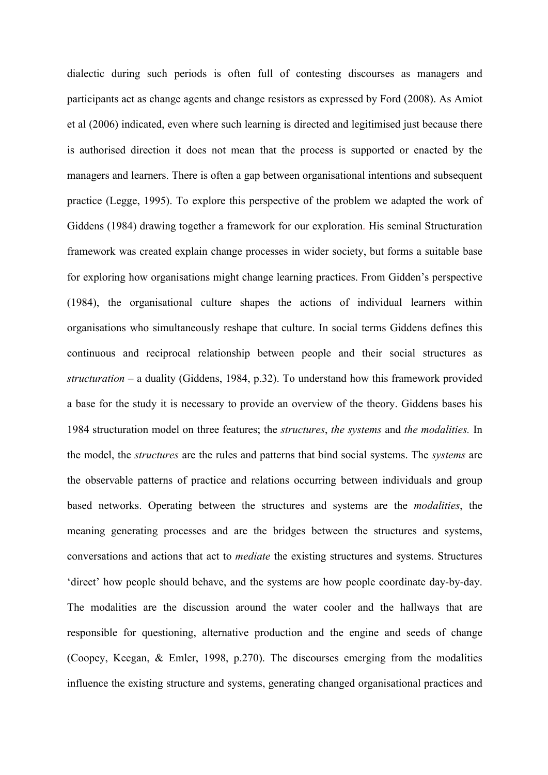dialectic during such periods is often full of contesting discourses as managers and participants act as change agents and change resistors as expressed by Ford (2008). As Amiot et al (2006) indicated, even where such learning is directed and legitimised just because there is authorised direction it does not mean that the process is supported or enacted by the managers and learners. There is often a gap between organisational intentions and subsequent practice (Legge, 1995). To explore this perspective of the problem we adapted the work of Giddens (1984) drawing together a framework for our exploration. His seminal Structuration framework was created explain change processes in wider society, but forms a suitable base for exploring how organisations might change learning practices. From Gidden's perspective (1984), the organisational culture shapes the actions of individual learners within organisations who simultaneously reshape that culture. In social terms Giddens defines this continuous and reciprocal relationship between people and their social structures as *structuration* – a duality (Giddens, 1984, p.32). To understand how this framework provided a base for the study it is necessary to provide an overview of the theory. Giddens bases his 1984 structuration model on three features; the *structures*, *the systems* and *the modalities.* In the model, the *structures* are the rules and patterns that bind social systems. The *systems* are the observable patterns of practice and relations occurring between individuals and group based networks. Operating between the structures and systems are the *modalities*, the meaning generating processes and are the bridges between the structures and systems, conversations and actions that act to *mediate* the existing structures and systems. Structures 'direct' how people should behave, and the systems are how people coordinate day-by-day. The modalities are the discussion around the water cooler and the hallways that are responsible for questioning, alternative production and the engine and seeds of change (Coopey, Keegan, & Emler, 1998, p.270). The discourses emerging from the modalities influence the existing structure and systems, generating changed organisational practices and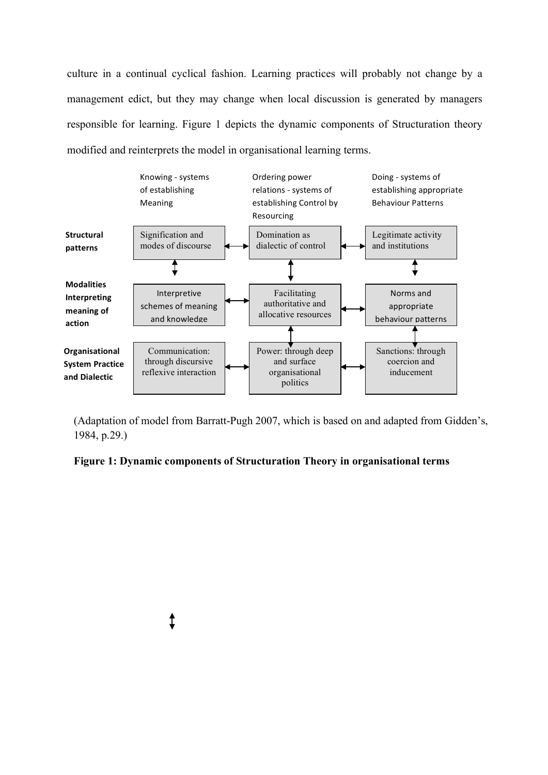culture in a continual cyclical fashion. Learning practices will probably not change by a management edict, but they may change when local discussion is generated by managers responsible for learning. Figure 1 depicts the dynamic components of Structuration theory modified and reinterprets the model in organisational learning terms.



(Adaptation of model from Barratt-Pugh 2007, which is based on and adapted from Gidden's, 1984, p.29.)

**Figure 1: Dynamic components of Structuration Theory in organisational terms**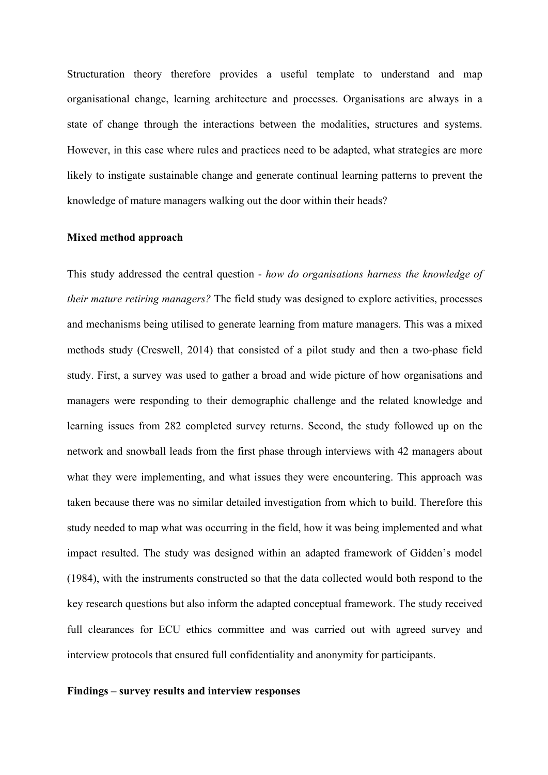Structuration theory therefore provides a useful template to understand and map organisational change, learning architecture and processes. Organisations are always in a state of change through the interactions between the modalities, structures and systems. However, in this case where rules and practices need to be adapted, what strategies are more likely to instigate sustainable change and generate continual learning patterns to prevent the knowledge of mature managers walking out the door within their heads?

#### **Mixed method approach**

This study addressed the central question - *how do organisations harness the knowledge of their mature retiring managers?* The field study was designed to explore activities, processes and mechanisms being utilised to generate learning from mature managers. This was a mixed methods study (Creswell, 2014) that consisted of a pilot study and then a two-phase field study. First, a survey was used to gather a broad and wide picture of how organisations and managers were responding to their demographic challenge and the related knowledge and learning issues from 282 completed survey returns. Second, the study followed up on the network and snowball leads from the first phase through interviews with 42 managers about what they were implementing, and what issues they were encountering. This approach was taken because there was no similar detailed investigation from which to build. Therefore this study needed to map what was occurring in the field, how it was being implemented and what impact resulted. The study was designed within an adapted framework of Gidden's model (1984), with the instruments constructed so that the data collected would both respond to the key research questions but also inform the adapted conceptual framework. The study received full clearances for ECU ethics committee and was carried out with agreed survey and interview protocols that ensured full confidentiality and anonymity for participants.

# **Findings – survey results and interview responses**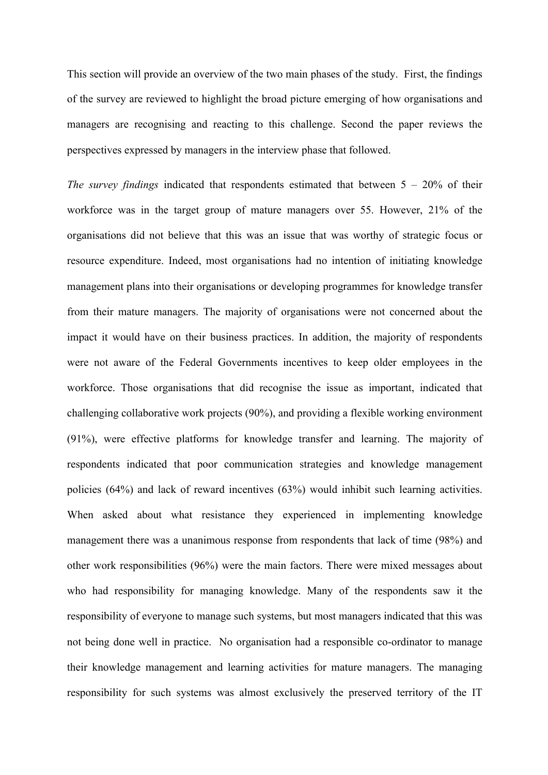This section will provide an overview of the two main phases of the study. First, the findings of the survey are reviewed to highlight the broad picture emerging of how organisations and managers are recognising and reacting to this challenge. Second the paper reviews the perspectives expressed by managers in the interview phase that followed.

*The survey findings* indicated that respondents estimated that between 5 – 20% of their workforce was in the target group of mature managers over 55. However, 21% of the organisations did not believe that this was an issue that was worthy of strategic focus or resource expenditure. Indeed, most organisations had no intention of initiating knowledge management plans into their organisations or developing programmes for knowledge transfer from their mature managers. The majority of organisations were not concerned about the impact it would have on their business practices. In addition, the majority of respondents were not aware of the Federal Governments incentives to keep older employees in the workforce. Those organisations that did recognise the issue as important, indicated that challenging collaborative work projects (90%), and providing a flexible working environment (91%), were effective platforms for knowledge transfer and learning. The majority of respondents indicated that poor communication strategies and knowledge management policies (64%) and lack of reward incentives (63%) would inhibit such learning activities. When asked about what resistance they experienced in implementing knowledge management there was a unanimous response from respondents that lack of time (98%) and other work responsibilities (96%) were the main factors. There were mixed messages about who had responsibility for managing knowledge. Many of the respondents saw it the responsibility of everyone to manage such systems, but most managers indicated that this was not being done well in practice. No organisation had a responsible co-ordinator to manage their knowledge management and learning activities for mature managers. The managing responsibility for such systems was almost exclusively the preserved territory of the IT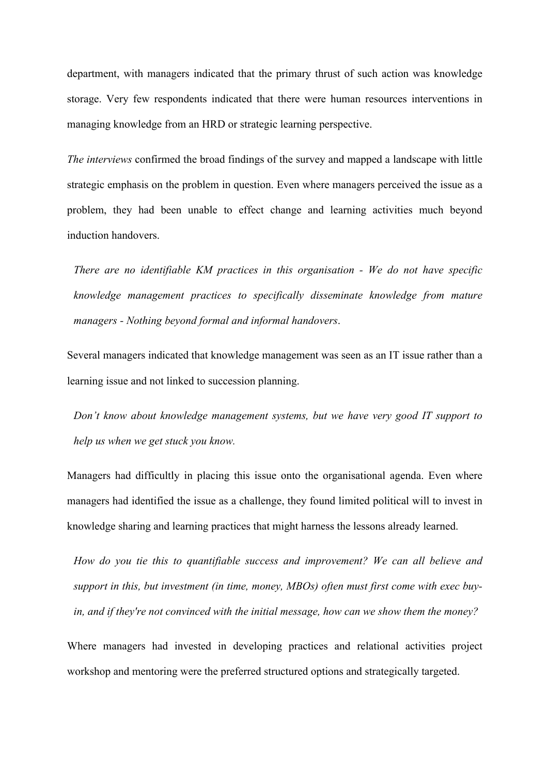department, with managers indicated that the primary thrust of such action was knowledge storage. Very few respondents indicated that there were human resources interventions in managing knowledge from an HRD or strategic learning perspective.

*The interviews* confirmed the broad findings of the survey and mapped a landscape with little strategic emphasis on the problem in question. Even where managers perceived the issue as a problem, they had been unable to effect change and learning activities much beyond induction handovers.

*There are no identifiable KM practices in this organisation - We do not have specific knowledge management practices to specifically disseminate knowledge from mature managers - Nothing beyond formal and informal handovers*.

Several managers indicated that knowledge management was seen as an IT issue rather than a learning issue and not linked to succession planning.

*Don't know about knowledge management systems, but we have very good IT support to help us when we get stuck you know.*

Managers had difficultly in placing this issue onto the organisational agenda. Even where managers had identified the issue as a challenge, they found limited political will to invest in knowledge sharing and learning practices that might harness the lessons already learned.

*How do you tie this to quantifiable success and improvement? We can all believe and support in this, but investment (in time, money, MBOs) often must first come with exec buyin, and if they're not convinced with the initial message, how can we show them the money?*

Where managers had invested in developing practices and relational activities project workshop and mentoring were the preferred structured options and strategically targeted.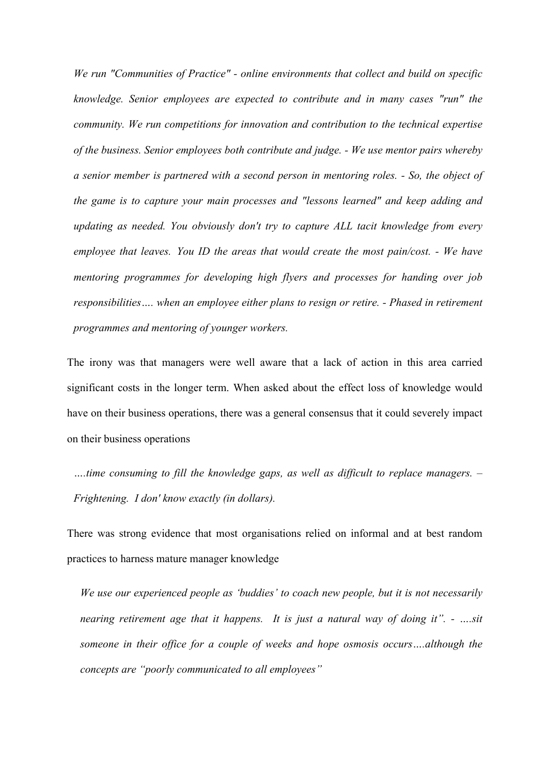*We run "Communities of Practice" - online environments that collect and build on specific knowledge. Senior employees are expected to contribute and in many cases "run" the community. We run competitions for innovation and contribution to the technical expertise of the business. Senior employees both contribute and judge. - We use mentor pairs whereby a senior member is partnered with a second person in mentoring roles. - So, the object of the game is to capture your main processes and "lessons learned" and keep adding and updating as needed. You obviously don't try to capture ALL tacit knowledge from every employee that leaves. You ID the areas that would create the most pain/cost. - We have mentoring programmes for developing high flyers and processes for handing over job responsibilities…. when an employee either plans to resign or retire. - Phased in retirement programmes and mentoring of younger workers.*

The irony was that managers were well aware that a lack of action in this area carried significant costs in the longer term. When asked about the effect loss of knowledge would have on their business operations, there was a general consensus that it could severely impact on their business operations

*….time consuming to fill the knowledge gaps, as well as difficult to replace managers. – Frightening. I don' know exactly (in dollars).*

There was strong evidence that most organisations relied on informal and at best random practices to harness mature manager knowledge

*We use our experienced people as 'buddies' to coach new people, but it is not necessarily nearing retirement age that it happens. It is just a natural way of doing it". - ….sit someone in their office for a couple of weeks and hope osmosis occurs….although the concepts are "poorly communicated to all employees"*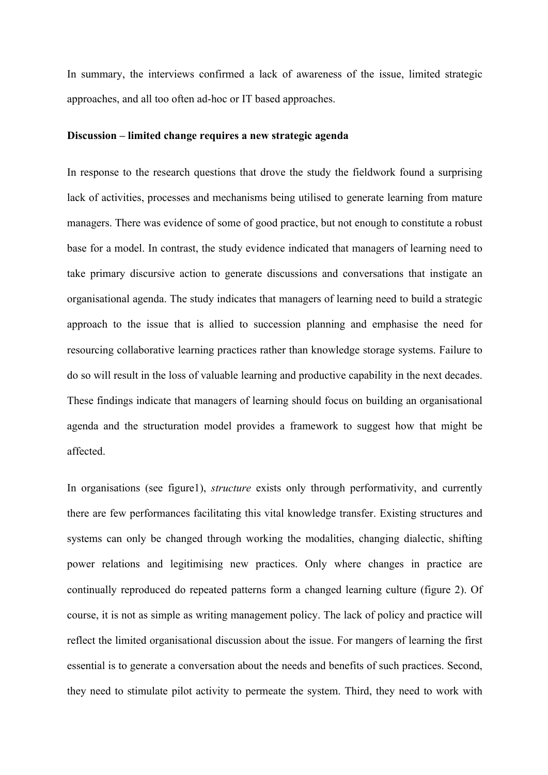In summary, the interviews confirmed a lack of awareness of the issue, limited strategic approaches, and all too often ad-hoc or IT based approaches.

## **Discussion – limited change requires a new strategic agenda**

In response to the research questions that drove the study the fieldwork found a surprising lack of activities, processes and mechanisms being utilised to generate learning from mature managers. There was evidence of some of good practice, but not enough to constitute a robust base for a model. In contrast, the study evidence indicated that managers of learning need to take primary discursive action to generate discussions and conversations that instigate an organisational agenda. The study indicates that managers of learning need to build a strategic approach to the issue that is allied to succession planning and emphasise the need for resourcing collaborative learning practices rather than knowledge storage systems. Failure to do so will result in the loss of valuable learning and productive capability in the next decades. These findings indicate that managers of learning should focus on building an organisational agenda and the structuration model provides a framework to suggest how that might be affected.

In organisations (see figure1), *structure* exists only through performativity, and currently there are few performances facilitating this vital knowledge transfer. Existing structures and systems can only be changed through working the modalities, changing dialectic, shifting power relations and legitimising new practices. Only where changes in practice are continually reproduced do repeated patterns form a changed learning culture (figure 2). Of course, it is not as simple as writing management policy. The lack of policy and practice will reflect the limited organisational discussion about the issue. For mangers of learning the first essential is to generate a conversation about the needs and benefits of such practices. Second, they need to stimulate pilot activity to permeate the system. Third, they need to work with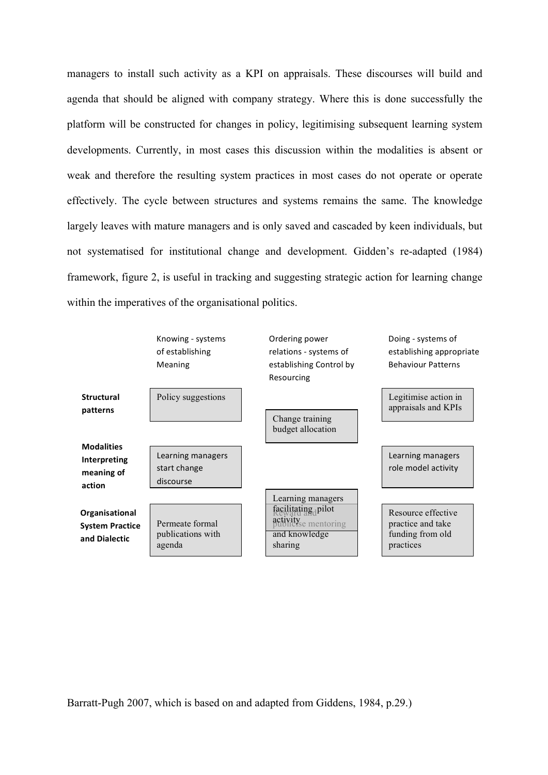managers to install such activity as a KPI on appraisals. These discourses will build and agenda that should be aligned with company strategy. Where this is done successfully the platform will be constructed for changes in policy, legitimising subsequent learning system developments. Currently, in most cases this discussion within the modalities is absent or weak and therefore the resulting system practices in most cases do not operate or operate effectively. The cycle between structures and systems remains the same. The knowledge largely leaves with mature managers and is only saved and cascaded by keen individuals, but not systematised for institutional change and development. Gidden's re-adapted (1984) framework, figure 2, is useful in tracking and suggesting strategic action for learning change within the imperatives of the organisational politics.



Barratt-Pugh 2007, which is based on and adapted from Giddens, 1984, p.29.)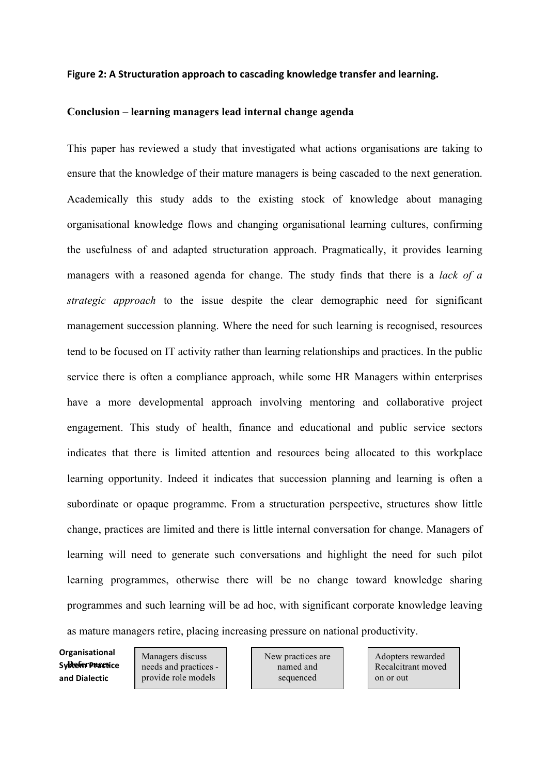#### **Figure 2: A Structuration approach to cascading knowledge transfer and learning.**

#### **Conclusion – learning managers lead internal change agenda**

This paper has reviewed a study that investigated what actions organisations are taking to ensure that the knowledge of their mature managers is being cascaded to the next generation. Academically this study adds to the existing stock of knowledge about managing organisational knowledge flows and changing organisational learning cultures, confirming the usefulness of and adapted structuration approach. Pragmatically, it provides learning managers with a reasoned agenda for change. The study finds that there is a *lack of a strategic approach* to the issue despite the clear demographic need for significant management succession planning. Where the need for such learning is recognised, resources tend to be focused on IT activity rather than learning relationships and practices. In the public service there is often a compliance approach, while some HR Managers within enterprises have a more developmental approach involving mentoring and collaborative project engagement. This study of health, finance and educational and public service sectors indicates that there is limited attention and resources being allocated to this workplace learning opportunity. Indeed it indicates that succession planning and learning is often a subordinate or opaque programme. From a structuration perspective, structures show little change, practices are limited and there is little internal conversation for change. Managers of learning will need to generate such conversations and highlight the need for such pilot learning programmes, otherwise there will be no change toward knowledge sharing programmes and such learning will be ad hoc, with significant corporate knowledge leaving as mature managers retire, placing increasing pressure on national productivity.

Sy**Refer Practi**ce **Organisational and Dialectic**

Managers discuss needs and practices provide role models

New practices are named and sequenced

Adopters rewarded Recalcitrant moved on or out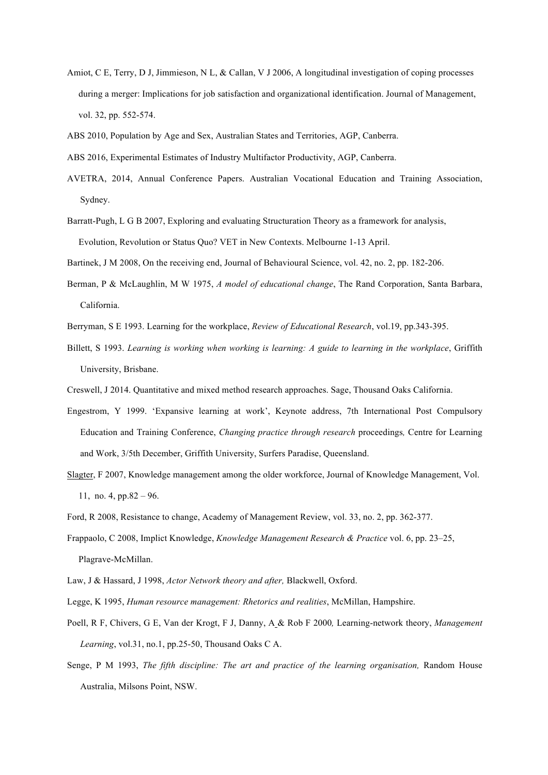- Amiot, C E, Terry, D J, Jimmieson, N L, & Callan, V J 2006, A longitudinal investigation of coping processes during a merger: Implications for job satisfaction and organizational identification. Journal of Management, vol. 32, pp. 552-574.
- ABS 2010, Population by Age and Sex, Australian States and Territories, AGP, Canberra.
- ABS 2016, Experimental Estimates of Industry Multifactor Productivity, AGP, Canberra.
- AVETRA, 2014, Annual Conference Papers. Australian Vocational Education and Training Association, Sydney.
- Barratt-Pugh, L G B 2007, Exploring and evaluating Structuration Theory as a framework for analysis, Evolution, Revolution or Status Quo? VET in New Contexts. Melbourne 1-13 April.
- Bartinek, J M 2008, On the receiving end, Journal of Behavioural Science, vol. 42, no. 2, pp. 182-206.
- Berman, P & McLaughlin, M W 1975, *A model of educational change*, The Rand Corporation, Santa Barbara, California.
- Berryman, S E 1993. Learning for the workplace, *Review of Educational Research*, vol.19, pp.343-395.
- Billett, S 1993. *Learning is working when working is learning: A guide to learning in the workplace*, Griffith University, Brisbane.
- Creswell, J 2014. Quantitative and mixed method research approaches. Sage, Thousand Oaks California.
- Engestrom, Y 1999. 'Expansive learning at work', Keynote address, 7th International Post Compulsory Education and Training Conference, *Changing practice through research* proceedings*,* Centre for Learning and Work, 3/5th December, Griffith University, Surfers Paradise, Queensland.
- Slagter, F 2007, Knowledge management among the older workforce, Journal of Knowledge Management, Vol. 11, no. 4, pp.82 – 96.
- Ford, R 2008, Resistance to change, Academy of Management Review, vol. 33, no. 2, pp. 362-377.
- Frappaolo, C 2008, Implict Knowledge, *Knowledge Management Research & Practice* vol. 6, pp. 23–25, Plagrave-McMillan.
- Law, J & Hassard, J 1998, *Actor Network theory and after,* Blackwell, Oxford.
- Legge, K 1995, *Human resource management: Rhetorics and realities*, McMillan, Hampshire.
- Poell, R F, Chivers, G E, Van der Krogt, F J, Danny, A & Rob F 2000*,* Learning-network theory, *Management Learning*, vol.31, no.1, pp.25-50, Thousand Oaks C A.
- Senge, P M 1993, *The fifth discipline: The art and practice of the learning organisation,* Random House Australia, Milsons Point, NSW.